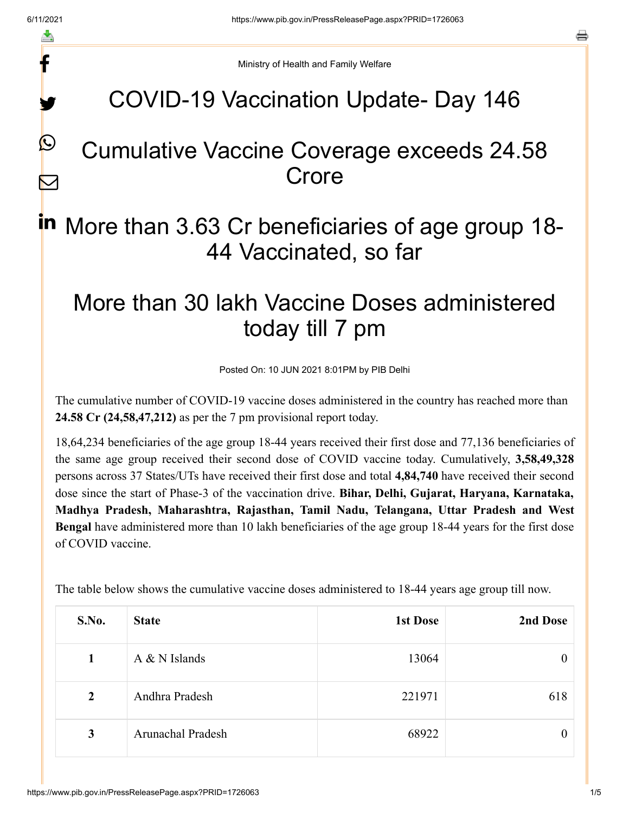f

y.

 $\boldsymbol{\mathcal{Q}}$ 

 $\boldsymbol{\nabla}$ 

a

Ministry of Health and Family Welfare

## COVID-19 Vaccination Update- Day 146

## Cumulative Vaccine Coverage exceeds 24.58 Crore

# in More than 3.63 Cr beneficiaries of age group 18-44 Vaccinated, so far

## More than 30 lakh Vaccine Doses administered today till 7 pm

Posted On: 10 JUN 2021 8:01PM by PIB Delhi

The cumulative number of COVID-19 vaccine doses administered in the country has reached more than **24.58 Cr (24,58,47,212)** as per the 7 pm provisional report today.

18,64,234 beneficiaries of the age group 18-44 years received their first dose and 77,136 beneficiaries of the same age group received their second dose of COVID vaccine today. Cumulatively, **3,58,49,328** persons across 37 States/UTs have received their first dose and total **4,84,740** have received their second dose since the start of Phase-3 of the vaccination drive. **Bihar, Delhi, Gujarat, Haryana, Karnataka, Madhya Pradesh, Maharashtra, Rajasthan, Tamil Nadu, Telangana, Uttar Pradesh and West Bengal** have administered more than 10 lakh beneficiaries of the age group 18-44 years for the first dose of COVID vaccine.

| S.No.          | <b>State</b>             | <b>1st Dose</b> | 2nd Dose         |
|----------------|--------------------------|-----------------|------------------|
| $\mathbf 1$    | $A & N$ Islands          | 13064           | $\boldsymbol{0}$ |
| $\overline{2}$ | Andhra Pradesh           | 221971          | 618              |
| 3              | <b>Arunachal Pradesh</b> | 68922           | $\theta$         |

The table below shows the cumulative vaccine doses administered to 18-44 years age group till now.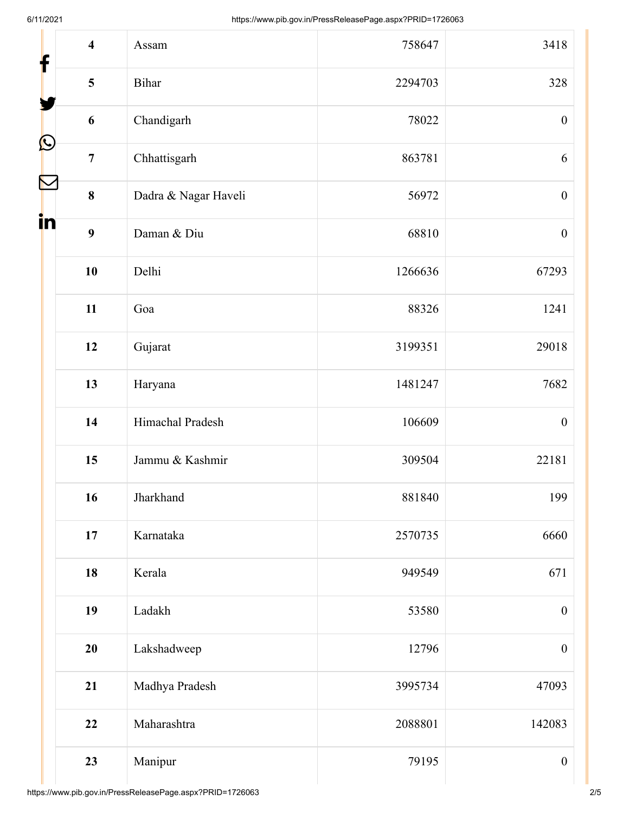| $\overline{\mathbf{4}}$<br>f | Assam                | 758647  | 3418             |
|------------------------------|----------------------|---------|------------------|
| 5                            | <b>Bihar</b>         | 2294703 | 328              |
| 6                            | Chandigarh           | 78022   | $\boldsymbol{0}$ |
| $\bigcirc$<br>$\overline{7}$ | Chhattisgarh         | 863781  | 6                |
| h<br>$\bf{8}$                | Dadra & Nagar Haveli | 56972   | $\boldsymbol{0}$ |
| in<br>9                      | Daman & Diu          | 68810   | $\boldsymbol{0}$ |
| 10                           | Delhi                | 1266636 | 67293            |
| 11                           | Goa                  | 88326   | 1241             |
| 12                           | Gujarat              | 3199351 | 29018            |
| 13                           | Haryana              | 1481247 | 7682             |
| 14                           | Himachal Pradesh     | 106609  | $\boldsymbol{0}$ |
| 15                           | Jammu & Kashmir      | 309504  | 22181            |
| 16                           | Jharkhand            | 881840  | 199              |
| 17                           | Karnataka            | 2570735 | 6660             |
| 18                           | Kerala               | 949549  | 671              |
| 19                           | Ladakh               | 53580   | $\boldsymbol{0}$ |
| 20                           | Lakshadweep          | 12796   | $\boldsymbol{0}$ |
| 21                           | Madhya Pradesh       | 3995734 | 47093            |
| 22                           | Maharashtra          | 2088801 | 142083           |
| 23                           | Manipur              | 79195   | $\boldsymbol{0}$ |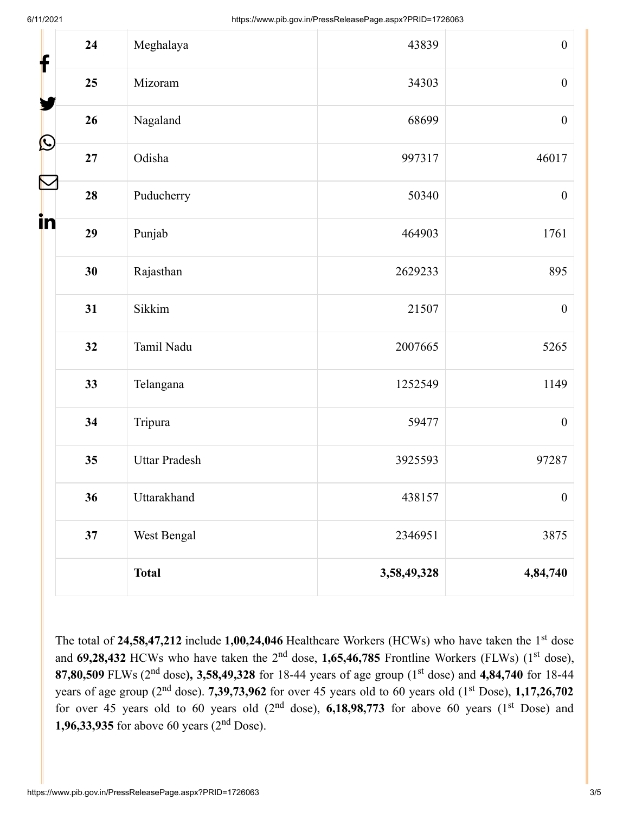| 24<br>f                     | Meghalaya            | 43839       | $\boldsymbol{0}$ |
|-----------------------------|----------------------|-------------|------------------|
| 25                          | Mizoram              | 34303       | $\boldsymbol{0}$ |
| 26                          | Nagaland             | 68699       | $\boldsymbol{0}$ |
| $\bigcirc$<br>27            | Odisha               | 997317      | 46017            |
| $\boldsymbol{\Sigma}$<br>28 | Puducherry           | 50340       | $\boldsymbol{0}$ |
| in<br>29                    | Punjab               | 464903      | 1761             |
| 30                          | Rajasthan            | 2629233     | 895              |
| 31                          | Sikkim               | 21507       | $\boldsymbol{0}$ |
| 32                          | Tamil Nadu           | 2007665     | 5265             |
| 33                          | Telangana            | 1252549     | 1149             |
| 34                          | Tripura              | 59477       | $\boldsymbol{0}$ |
| 35                          | <b>Uttar Pradesh</b> | 3925593     | 97287            |
| 36                          | Uttarakhand          | 438157      | $\boldsymbol{0}$ |
| 37                          | West Bengal          | 2346951     | 3875             |
|                             | <b>Total</b>         | 3,58,49,328 | 4,84,740         |

The total of 24,58,47,212 include 1,00,24,046 Healthcare Workers (HCWs) who have taken the 1<sup>st</sup> dose and 69,28,432 HCWs who have taken the 2<sup>nd</sup> dose, 1,65,46,785 Frontline Workers (FLWs) (1<sup>st</sup> dose), **87,80,509** FLWs (2<sup>nd</sup> dose), 3,58,49,328 for 18-44 years of age group (1<sup>st</sup> dose) and 4,84,740 for 18-44 years of age group (2<sup>nd</sup> dose). **7,39,73,962** for over 45 years old to 60 years old (1<sup>st</sup> Dose), **1,17,26,702** for over 45 years old to 60 years old  $(2<sup>nd</sup> dose)$ , 6,18,98,773 for above 60 years  $(1<sup>st</sup> Does)$  and **1,96,33,935** for above 60 years  $(2^{nd}$  Dose).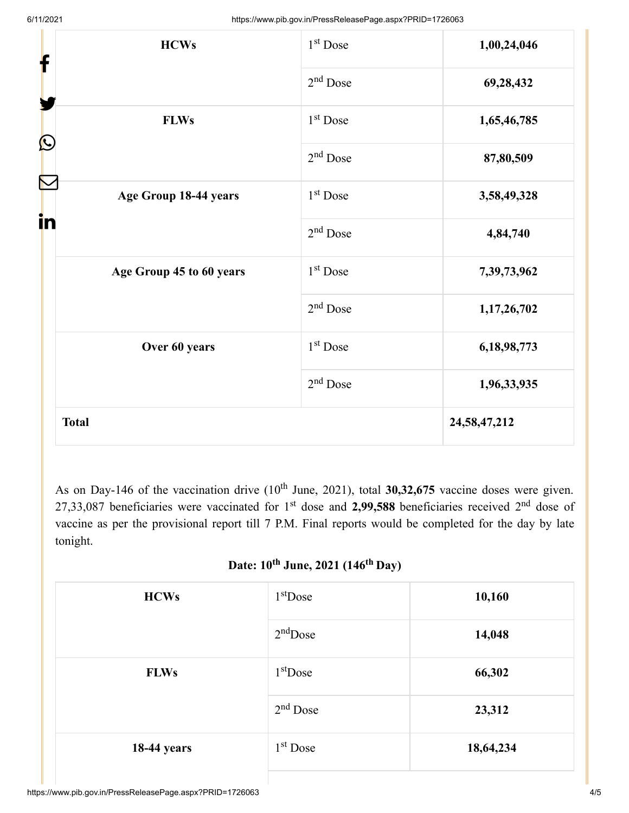| <b>HCWs</b>                 | 1 <sup>st</sup> Dose | 1,00,24,046  |
|-----------------------------|----------------------|--------------|
| f                           | $2nd$ Dose           | 69,28,432    |
| <b>FLWs</b><br>$\bf \Omega$ | 1 <sup>st</sup> Dose | 1,65,46,785  |
|                             | $2nd$ Dose           | 87,80,509    |
| Age Group 18-44 years<br>in | 1 <sup>st</sup> Dose | 3,58,49,328  |
|                             | $2nd$ Dose           | 4,84,740     |
| Age Group 45 to 60 years    | 1 <sup>st</sup> Dose | 7,39,73,962  |
|                             | $2nd$ Dose           | 1,17,26,702  |
| Over 60 years               | 1 <sup>st</sup> Dose | 6,18,98,773  |
|                             | $2nd$ Dose           | 1,96,33,935  |
| <b>Total</b>                |                      | 24,58,47,212 |

As on Day-146 of the vaccination drive  $(10^{th}$  June, 2021), total 30,32,675 vaccine doses were given. 27,33,087 beneficiaries were vaccinated for  $1<sup>st</sup>$  dose and 2,99,588 beneficiaries received  $2<sup>nd</sup>$  dose of vaccine as per the provisional report till 7 P.M. Final reports would be completed for the day by late tonight.

#### **Date: 10 June, 2021 (146 Day) th th**

| <b>HCWs</b>        | $1st$ Dose | 10,160    |
|--------------------|------------|-----------|
|                    | $2nd$ Dose | 14,048    |
| <b>FLWs</b>        | $1st$ Dose | 66,302    |
|                    | $2nd$ Dose | 23,312    |
| <b>18-44 years</b> | $1st$ Dose | 18,64,234 |